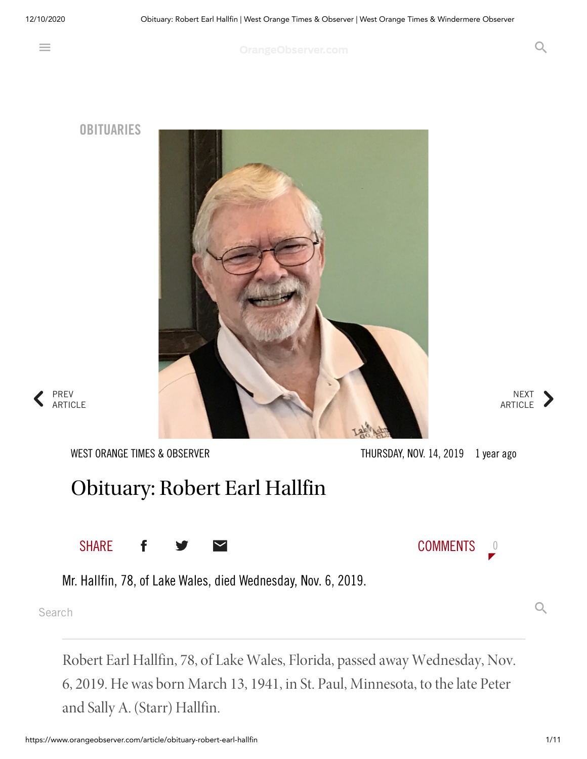$\equiv$ 

OrangeObserver.com COVERTS CONTINUES

**OBITUARIES**



NEXT ARTICLE

 $\left\langle \right\rangle$ PREV ARTICLE

WEST ORANGE TIMES & OBSERVER

THURSDAY, NOV. 14, 2019 1 year ago

## Obituary: Robert Earl Hallfin

SHARE **f**  $\rightarrow$   $\sim$  comments 0

Mr. Hallfin, 78, of Lake Wales, died Wednesday, Nov. 6, 2019.

Search  $Q$ 

Robert Earl Hallfin, 78, of Lake Wales, Florida, passed away Wednesday, Nov. 6, 2019. He was born March 13, 1941, in St. Paul, Minnesota, to thelate Peter and Sally A. (Starr) Hallfin.